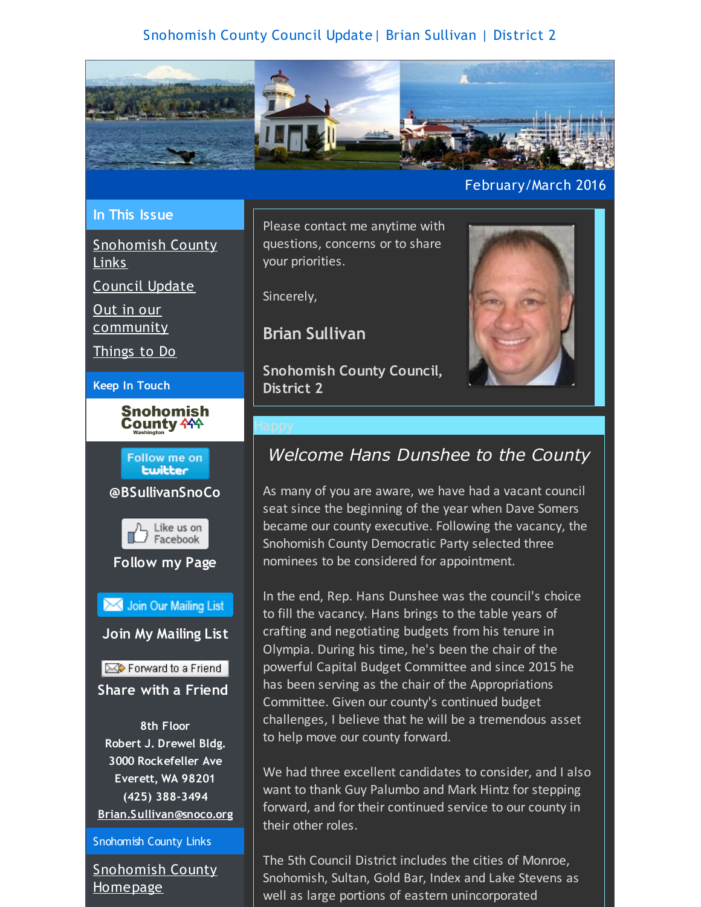## Snohomish County Council Update| Brian Sullivan | District 2

<span id="page-0-0"></span>

### **In This Issue**

[Snohomish](#page-0-0) County Links

[Council](#page-0-0) Update

Out in our [community](#page-0-0)

[Things](#page-0-0) to Do

**Keep In Touch**



**Follow me on Lwitter @BSullivanSnoCo** Like us on<br>
Facebook **Follow my Page** Join Our Mailing List **Join My Mailing List**  $\mathbb{R}$  Forward to a Friend **Share with a Friend 8th Floor Robert J. Drewel Bldg. 3000 Rockefeller Ave Everett, WA 98201 (425) 388-3494 [Brian.Sullivan@snoco.org](mailto:Brian.Sullivan@snoco.org)**

Snohomish County Links

[Snohomish](http://r20.rs6.net/tn.jsp?f=001GA_En9aGNLY1t9hJH0_GjmQyHJB9ku5vXPvdLYbdatd-B5rcxQa5I4186N5DgcQEufHma10Hw3eoN1Jg7nXdwQcAvxOtlF5FmBOUI1qdnEcNbiayIlv1pqh5PtWFE-odWiQTmgRJwavhhfpGyha3B5f1MaKeIcXYkY-LF0ioeXKt-_bKqDLXN48AjqVOvjksCd-5DxKBHlzMHBDoakDK8Pr6prrQR647btiGz3Oh6OSv_iiJB2RnuAytSRg3Y3e9BPY9sRzW9HABitxkJG3siwdngGi1X_nh2Yy-Y1xMh9OcroKPvPNAMYq8xdDJt08rwBOjoNN6bd_pMO-2-NDShg==&c=&ch=) County Homepage

Please contact me anytime with questions, concerns or to share your priorities.

Sincerely,

**Brian Sullivan**

**Snohomish County Council, District 2**

February/March 2016

## *Welcome Hans Dunshee to the County*

As many of you are aware, we have had a vacant council seat since the beginning of the year when Dave Somers became our county executive. Following the vacancy, the Snohomish County Democratic Party selected three nominees to be considered for appointment.

In the end, Rep. Hans Dunshee was the council's choice to fill the vacancy. Hans brings to the table years of crafting and negotiating budgets from his tenure in Olympia. During his time, he's been the chair of the powerful Capital Budget Committee and since 2015 he has been serving as the chair of the Appropriations Committee. Given our county's continued budget challenges, I believe that he will be a tremendous asset to help move our county forward.

We had three excellent candidates to consider, and I also want to thank Guy Palumbo and Mark Hintz for stepping forward, and for their continued service to our county in their other roles.

The 5th Council District includes the cities of Monroe, Snohomish, Sultan, Gold Bar, Index and Lake Stevens as well as large portions of eastern unincorporated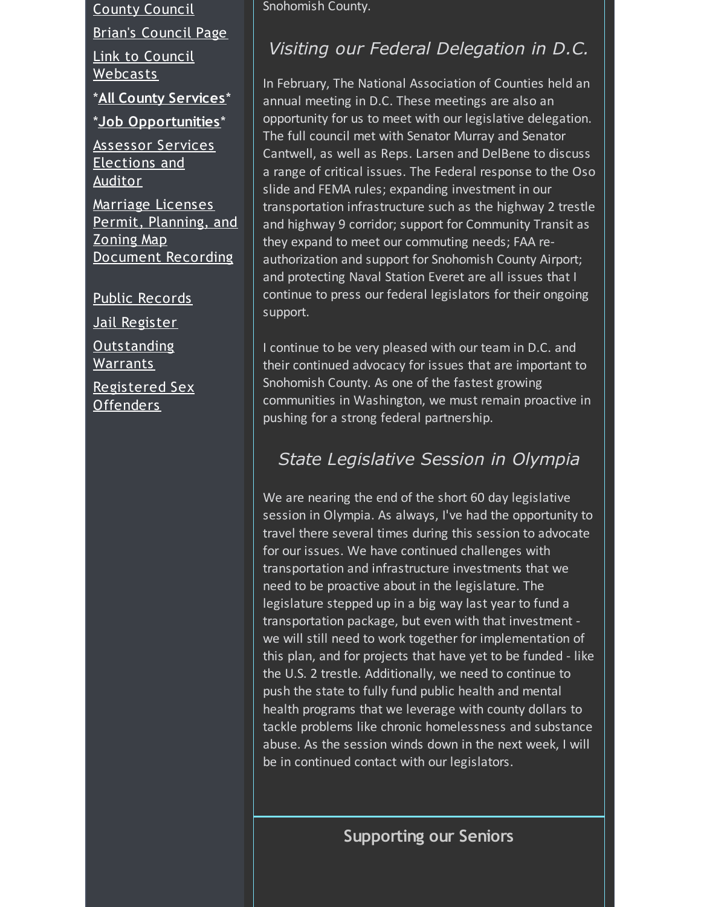County [Council](http://r20.rs6.net/tn.jsp?f=001GA_En9aGNLY1t9hJH0_GjmQyHJB9ku5vXPvdLYbdatd-B5rcxQa5I-gA_-HGyHJwJRAw4OWUTJdMn5Sd8_yH3MAKrbsaAu8nHHppCgAYD7mndEtk_YY5Cn5DzmJLQ9_z856KuGJyVxJScbkzBOCHjPRUJoW9fa7DKMrV-d5wER3o0h2I1rhVgvT8ymyRbYr0JWuzSQuh9du_7I_vBGySiTLlJBmeYkg4xKYszqfUjbhE_Bd0dTLlN9QjAqWoNq6YhyFMheqYbemtOPgrPl1oHvCqCXAW0CpXSMBPfeG27mqQmnuKqVsv4UogzgmFWyQa-DdPhec-KDXcf8CPo1sldDI4K1tzIUxmMeUzQjXcCAGBla6Ac87_JuTBPo4f5GgR&c=&ch=)

Brian's [Council](http://r20.rs6.net/tn.jsp?f=001GA_En9aGNLY1t9hJH0_GjmQyHJB9ku5vXPvdLYbdatd-B5rcxQa5I-gA_-HGyHJw0eLGFvaQPbsGIVka1tBkt4NSTA0RRb_x9KUx4StWf6YLeXJwZDwcl0UGj8kwzGOEBohTr_4Xm_Z4VxiFfdHlez67gGPhuLR-uNZSM9aEXSI8sYkoe_mXZe0YJ6mjegBmfup_4frq65PRyL7QiRnwZjA1mByU7UZWxdgB1qpa9iNGwyID3ZU5soyKf698k2b4UrxwofpwlDMpVe9v-kTEfXtjFR1MapnghEV_s4i44IbeHr12ScgPCIPuEsyXGW6dADJr_lLyQYzPi7CfMoo4nZVrjhGGfdWjrNFNQKd25WL2vYNdl97lPvbWSt9Lpebu&c=&ch=) Page

Link to Council [Webcasts](http://r20.rs6.net/tn.jsp?f=001GA_En9aGNLY1t9hJH0_GjmQyHJB9ku5vXPvdLYbdatd-B5rcxQa5I-7JgLZ11m6L8J4DWPLCJBHcM_FICKnX2mQtCexoNiHMNfv115FmMdLnP7vXhHB6rBlAeP_Rfj2h1X8PC0EaXbmrCEpngqHccJh_96m8lyiDnQ6zu3Lu_Y9pzbyA_8HGetAhdYAl5dJOMkT1JzWXO27ObijVpzajEGmfxv0ODzrmyVRbR2tYU3eXenOQt3vsZC_zBdeel9JrteEWPYpogmPSqefu8CKBLFL0loZuYBQhHjzbE2pK3cajvr5_Wc6j9YOfLdP8di032Df9q1ImMjtxQRNfIzh_KpVWaFxakARX_aZ62imUfnC5KSrS-M6V1O8o-nPJaBPEVQ8dJxr64dg=&c=&ch=)

\***All County [Services](http://r20.rs6.net/tn.jsp?f=001GA_En9aGNLY1t9hJH0_GjmQyHJB9ku5vXPvdLYbdatd-B5rcxQa5I-gA_-HGyHJwVE1-z8Q2B82R67tWwXdYuyOMfC3NJU4Y1Y4ZrOkzO7212OERRef8AzqJjJWdubiW-WZJLJOdQXbAHG8h6MA8mypuUI2_tgFAv8jJNorM4b0wIpjTbYrH32n11-dlPgc3XvaqVJkY6MLHdqvGGO0gxcQtty_AsbQr6saYJUeUxrptTnrBo6ZCSafOOSdM4WpBD3wiGJeNmTGUsYjrxoWseIo0cPbNYZtUHsAD_L5JYTOQgB1jF5f48L03Vqs8A60GalY6jWCDkz4l9nH7rNAOb2uWurKsfy2Br1V1GruNiOl8FsbN-33CNk67eHsyijSI&c=&ch=)**\*

\***Job [Opportunities](http://r20.rs6.net/tn.jsp?f=001GA_En9aGNLY1t9hJH0_GjmQyHJB9ku5vXPvdLYbdatd-B5rcxQa5I-gA_-HGyHJwsSKYLjbCsPC0XoalNLYN_KavWku1fQK5DeFCfnRto5F_Ev-zKmyRoTEJuVDvypNu2FHX7pprxkeD9NZWFr_0ffQh7U9UnD4vyOFekgbynOyAbHIijOoxUJRoVAZhZHHU7J50ZJBEjRVLmSQpjPl1vZihZBSPDuSvI20sc_j4s7UFN0SfMXNKtdE5NwgPjhN3okkUeUEpIr9qYTeWShCAH7TQYXXhGEQMOmPeEQh60Fz48k-h_B1zEzk9ndNmRR_CRhBHIWKkB6umcOgiFgIiXo10WIjAxSw4YXIkNWyz2W-wsLq0nEk0DxRPUhyzRDoz&c=&ch=)**\*

[Assessor](http://r20.rs6.net/tn.jsp?f=001GA_En9aGNLY1t9hJH0_GjmQyHJB9ku5vXPvdLYbdatd-B5rcxQa5I-gA_-HGyHJwW2qxsn_pWI1wvx74_DhUTWg57OeW2a4q9D00GcmIqp9suoZ3LG9koSaPl2nR7V7dlBd0-3DF0L_PHBrHbguQhvIL8zL-bLgUyEaE_v3UkmEpP6F_m2d3QZMtuYeo9iVNRyxzgMROU07vSPW-twSIpcRvP-qt1sPyj6Ys6qlymPsSgOqhB1V2tCt6CRRfHPfAPp1mFBELlROer9EjrnzpRVZSm2Kq4lRE-EinXLudxyX2EiloMwnq6bnr7daSP-8ZPUrQ_biHlKlEKWlUoH-OfDGajdPGfMzSn2YyfxlFVXO0Xp4ZBQbHMg==&c=&ch=) Services [Elections](http://r20.rs6.net/tn.jsp?f=001GA_En9aGNLY1t9hJH0_GjmQyHJB9ku5vXPvdLYbdatd-B5rcxQa5I-gA_-HGyHJwGPdhYcTOQfzNgq11bYx9PS-TxVaD5Odl4nyqw2mSeHAlniyxYMMRIPHa7UE3UnUtSyGWyL7avgWncQy7oMDzjAquW-FqU9SEDm921H3VIt-d-8uj19kCFLC4T2ezuPGHJrwHekXdhhytaAxR9dphhFklltidOVAR76P2OaIaYY3Kp6JVrdaw-6q1sPW1lDauQ55lgrTYOdM1CNJUU8odfVXDKvuSImQ7PQA-_0xVw7Hfa3pwGM2zuPyfF9MZfoHnWrjIG1JArdokYNRNEy8pTAwzYvKj1IeN0WKBMSpzBvG_ViHYt-8wig==&c=&ch=) and Auditor

Marriage [Licenses](http://r20.rs6.net/tn.jsp?f=001GA_En9aGNLY1t9hJH0_GjmQyHJB9ku5vXPvdLYbdatd-B5rcxQa5I-gA_-HGyHJwbqv88Ztcfsh1LXi_IbeB448dPRG7NL2uhh6gZ2sVM_YCghlcu2dXPeeX_rVJ9nHy0S9zLrSDWBsFT44xUu-UCR5cTttPw7yFtyNIThtIYdResGCRPGeOQ2dX9uS-XLkxlbV-yfRtYdSvS9nkYDOlE_s4GvbvH7QioiUYjmG4lkKrX0KBAZUJWpfe0q8d7SjID6GrlsceVt_kB7j6PqFor4S5m9CIztCtc-KGrT_6nAC8I-VwZF4QTPA3DYAIqDjqzl6Io-8qddnuKPXwyikgPWo5Dlv_iLeNdH8BR6iruSgb8ufODLQiaw==&c=&ch=) Permit, [Planning,](http://r20.rs6.net/tn.jsp?f=001GA_En9aGNLY1t9hJH0_GjmQyHJB9ku5vXPvdLYbdatd-B5rcxQa5Iyp7Q4r_jsA8KEybvY0nx3eI3tL_A7Zl3sHWWkKLnhUZaZMvCy9o5IdH-h-eKtephAPImKRxvrWwPrCckthv_GJUo-U8BAIGwLCEVvXlGqyTaWqVKjY_s5kH7xMVqJ41isdmg9PLwupakl9SxHxEYJKaBtFQc1K8KQR_6TVMgYVqChF9mO4teM-FNlOV1YTchn0DbgrkbjFrrMF_NLX7B4_cmJgL4eFkIzd0lWXbdAMWqpOswhTd2m7ai_m0oaitpFtUoyc3MwaLkxHsZ3HL5dUAsQXMswEkN-P5dXOygR_RTs7Ze10dM8sMqbUoxJ5QiQ==&c=&ch=) and Zoning Map [Document](http://r20.rs6.net/tn.jsp?f=001GA_En9aGNLY1t9hJH0_GjmQyHJB9ku5vXPvdLYbdatd-B5rcxQa5I-gA_-HGyHJwPlj5AyEev87ChCA45TMH3o3BiqH1waiTr0CVNyKDfS_U1QJ8utp0OiEnAtoF3g6IcDT8cImgujcGrQZ_NNdilYveeBd9LccaRh5VSU9Qmcmr-X9h8Pz61jhcVdlsfusm33jogzxC_QwqRDurqs133ujnjMAOlRh4Ndo57wIBDAbAEv5TmR_37LDiaaZuwonvy5rQ3AH4SPTlyBetwf4gqiON1MGbcau2jZUNodMCUqQ_AivjgcMefpNtOiCDtbVvF8ndXl0u3cCmzP3XommfAAGF6R8ml2YD4a6U65kzCNUM9KkjkElbuJFLrIIoR6Ry&c=&ch=) Recording

Public [Records](http://r20.rs6.net/tn.jsp?f=001GA_En9aGNLY1t9hJH0_GjmQyHJB9ku5vXPvdLYbdatd-B5rcxQa5I-gA_-HGyHJwtwMuVeeqg08ULGkd5aJWrnQY2w2UHmwhRJ8xDKqlhxs0ucPWZ4aL1Ir2FS3KLgiN6nDSimj4jI4WRYjktbH3X_SLxJzdM8M3Hpfvzw70njw33ywhG0mPVerBsX9ApQUfIhhDgijOBMtJUFHra1oGLpK0KVxhh_B0ft7Z_ZdHbVD4KwkCTfDpJb8KNNA8xHB8-V-aDG8H16n6CjuR5Le0DFntHBXnb-lw_YuaZdOytLP6lwyupDby3gCKRgMtlzaGWdrymZu347lXJpcZnw4trBaPFT3InWOR-dQZfANRrTHMzNAIam-3UTW8uMSlR6L5&c=&ch=) Jail [Register](http://r20.rs6.net/tn.jsp?f=001GA_En9aGNLY1t9hJH0_GjmQyHJB9ku5vXPvdLYbdatd-B5rcxQa5I-gA_-HGyHJwvKR2F07dHCrhe0UXfV1u-Y7PG60aLqOm9c7XkMHd5eFaTUYcngP2ws5V7XiTP7tSYWiP9SCoyr5C3WZxSBLfMIxySTRZxoK689iDi127_mc3Kf8s0AdWQpf3haMj6bSRozbfcbXqrvVe9YYKw3zrpkr80tmjJgbgXV1Xr2ft20kQwLlqB-i4-I4vKrPRHki6hGS2cqnvbbd69oxBhZ78_d01Q5oTjuZcTCnkzp97Kw0BulXK7nDZR4gt4Qsy907soKqFGCiXBVwsha9HhRXtlrPiQcfhDFx0A-GkF29Na_i9u0FZbft-R-V0i8lwBMJO&c=&ch=) **[Outstanding](http://r20.rs6.net/tn.jsp?f=001GA_En9aGNLY1t9hJH0_GjmQyHJB9ku5vXPvdLYbdatd-B5rcxQa5I-gA_-HGyHJwaKqRoECFa6oPWrMQcv4ljexH-39DEpyMHUCCNN8P9eT1nw6jMJJlYY88jgKabXs0rljAr9v79wyusFWGjErsarZn2M3AWzkfim7arJedx47YB09vFuSmhtADHAYA93Xp9mAEN-I4dT2nKg2rYp89WvbjRsAXgZoAVK8Fvw-sKLZi33eXNTodo3iEKrMM4mzYCXp75VXPIwbgb5VyQN1YL4TfWPNu1mt2nAjIvQMpte5oFZTFU_QCESvF0qACmclh2hfkOTcnwFjBhMCQdKUTWgAejmC_ZTEuZr2UP9u84FeW7q4cKZNZKcjFE_D6R7qL&c=&ch=)** Warrants

[Registered](http://r20.rs6.net/tn.jsp?f=001GA_En9aGNLY1t9hJH0_GjmQyHJB9ku5vXPvdLYbdatd-B5rcxQa5I-gA_-HGyHJwWHR4pXn2yJeKjA421_vdaVxhbkhV3vtqRjk-DxWgfKDH3CJ_0Xac00pnTP0WkLR8zqeft_3GwNczzwBP0mgqWGibNlffjts4KCbtzcHUv3bju-QEOy8O0xiqzJpnIvK09pgvgl_3-I-CcH7PK_vjt7cES3oRi4P32s_iyM-ixK1sEW-2e81k7p9BAWbOpczFFfbFBNSO8rN9tHnnIWOreApG9cLSxrvX0TYGjbtdECj78uIldERO-yIo_Ni0fbGucH914B5GdwIKv0X5czEKQrBX9hjGQLJbQlLtv5dba06bvgxBTcvu606xSAGuPk-6HEgzyWptApw=&c=&ch=) Sex Offenders

Snohomish County.

# *Visiting our Federal Delegation in D.C.*

In February, The National Association of Counties held an annual meeting in D.C. These meetings are also an opportunity for us to meet with our legislative delegation. The full council met with Senator Murray and Senator Cantwell, as well as Reps. Larsen and DelBene to discuss a range of critical issues. The Federal response to the Oso slide and FEMA rules; expanding investment in our transportation infrastructure such as the highway 2 trestle and highway 9 corridor; support for Community Transit as they expand to meet our commuting needs; FAA reauthorization and support for Snohomish County Airport; and protecting Naval Station Everet are all issues that I continue to press our federal legislators for their ongoing support.

I continue to be very pleased with our team in D.C. and their continued advocacy for issues that are important to Snohomish County. As one of the fastest growing communities in Washington, we must remain proactive in pushing for a strong federal partnership.

## *State Legislative Session in Olympia*

We are nearing the end of the short 60 day legislative session in Olympia. As always, I've had the opportunity to travel there several times during this session to advocate for our issues. We have continued challenges with transportation and infrastructure investments that we need to be proactive about in the legislature. The legislature stepped up in a big way last year to fund a transportation package, but even with that investment we will still need to work together for implementation of this plan, and for projects that have yet to be funded - like the U.S. 2 trestle. Additionally, we need to continue to push the state to fully fund public health and mental health programs that we leverage with county dollars to tackle problems like chronic homelessness and substance abuse. As the session winds down in the next week, I will be in continued contact with our legislators.

**Supporting our Seniors**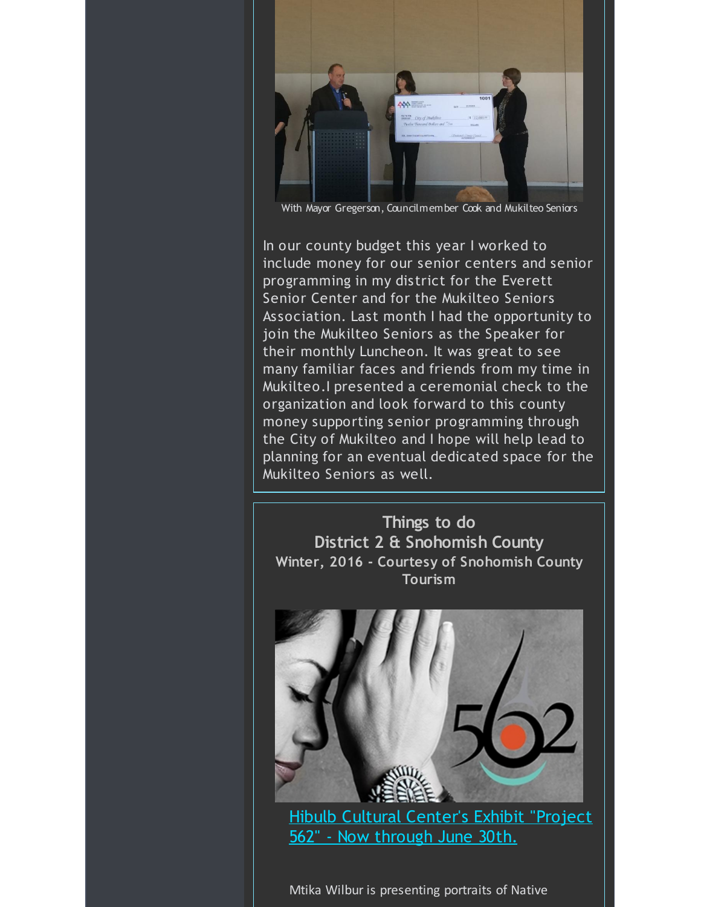

With Mayor Gregerson, Councilmember Cook and Mukilteo Seniors

In our county budget this year I worked to include money for our senior centers and senior programming in my district for the Everett Senior Center and for the Mukilteo Seniors Association. Last month I had the opportunity to join the Mukilteo Seniors as the Speaker for their monthly Luncheon. It was great to see many familiar faces and friends from my time in Mukilteo.I presented a ceremonial check to the organization and look forward to this county money supporting senior programming through the City of Mukilteo and I hope will help lead to planning for an eventual dedicated space for the Mukilteo Seniors as well.

**Things to do District 2 & Snohomish County Winter, 2016 - Courtesy of Snohomish County Tourism**



Hibulb Cultural [Center's](http://r20.rs6.net/tn.jsp?f=001GA_En9aGNLY1t9hJH0_GjmQyHJB9ku5vXPvdLYbdatd-B5rcxQa5Iy3msqO_g5Yu3PmIXRRDwocZuPJcPsaGgldeoaxDodAy1VGcs22RsQVxfNz5DTWM8QmBB0GUxB-WzD9mekdOdlhP6bVqzGP4gn-bc68GpSRSSUOx59ZSg2xTmhbSFwi5gaH9XXR38Am1u8ib2FyZ1x1GjECtu6ssZNPhDrONKoi1McNADPMJuPeeTOAUdLv01o6-pD3EwsF9Sud6E8K1i6hzY5kinoRhs3RkpG7GM-fnOLnEvwNBolcmyONZUjS69et882p9MyDYry_W34Kzx6yrWiWotiDMsBihsvZLLuOSwcb7izXz_5G2Oa6XYorQ8Yheke6DeU1sducOiaFco0Y=&c=&ch=) Exhibit "Project 562" - Now through June 30th.

Mtika Wilbur is presenting portraits of Native